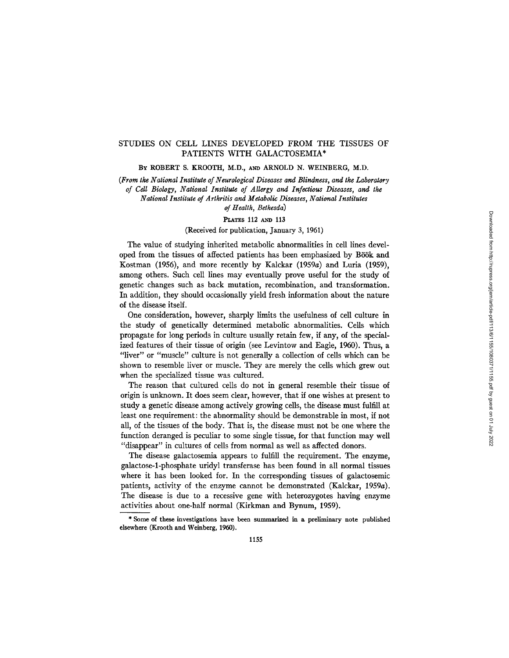# STUDIES ON CELL LINES DEVELOPED FROM THE TISSUES OF PATIENTS WITH GALACTOSEMIA\*

**Bx ROBERT S. KROOTH, M.D., AND ARNOLD N. WEINBERG, M.D.** 

*(From the National Institute of Neurological Diseases and Blindness, and the Laboratory* 

*of Cell Biology, National Institute of Allergy and Infectious Diseases, and the* 

*National Institute of Arthritis and Metabolic Diseases, National Institutes of Health, Bethesda)* 

### PLATES 112 AND 113

### (Received for publication, January 3, 1961)

The value of studying inherited metabolic abnormalities in cell lines developed from the tissues of affected patients has been emphasized by Böök and Kostman (1956), and more recently by Kalckar (1959a) and Luria (1959), among others. Such cell lines may eventually prove useful for the study of genetic changes such as back mutation, recombination, and transformation. In addition, they should occasionally yield fresh information about the nature of the disease itself.

One consideration, however, sharply limits the usefulness of cell culture in the study of genetically determined metabolic abnormalities. Cells which propagate for long periods in culture usually retain few, if any, of the specialized features of their tissue of origin (see Levintow and Eagle, 1960). Thus, a "liver" or "muscle" culture is not generally a collection of cells which can be shown to resemble liver or muscle. They are merely the cells which grew out when the specialized tissue was cultured.

The reason that cultured cells do not in general resemble their tissue of origin is unknown. It does seem clear, however, that if one wishes at present to study a genetic disease among actively growing cells, the disease must fulfill at least one requirement: the abnormality should be demonstrable in most, if not all, of the tissues of the body. That is, the disease must not be one where the function deranged is peculiar to some single tissue, for that function may well "disappear" in cultures of cells from normal as well as affected donors.

The disease galactosemia appears to fulfill the requirement. The enzyme, galactose-l-phosphate uridyl transferase has been found in all normal tissues where it has been looked for. In the corresponding tissues of galactosemic patients, activity of the enzyme cannot be demonstrated (Kalckar, 1959a). The disease is due to a recessive gene with heterozygotes having enzyme activities about one-half normal (Kirkman and Bynum, 1959).

<sup>\*</sup> Some of these investigations have been summaxized in a preliminary note published **elsewhere (Krooth and Weinberg, 1960).**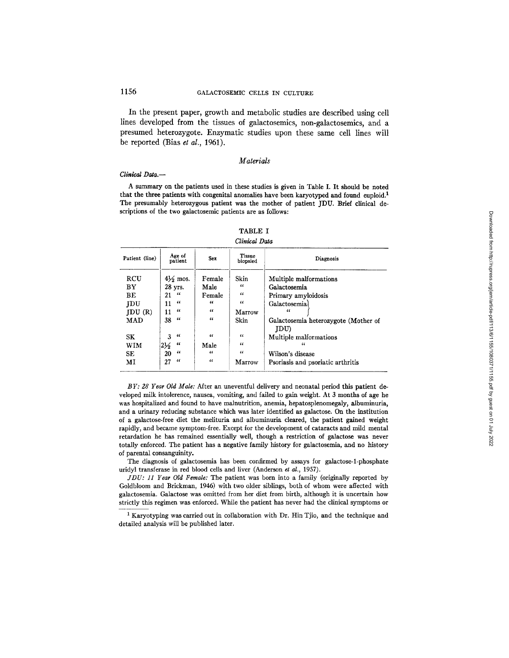In the present paper, growth and metabolic studies are described using cell lines developed from the tissues of galactosemics, non-galactosemics, and a presumed heterozygote. Enzymatic studies upon these same cell lines will be reported (Bias *et al.,* 1961).

# *Materials*

## *Clinical Data.--*

A summary on the patients used in these studies is given in Table I. It should be noted that the three patients with congenital anomalies have been karyotyped and found euploid.<sup>1</sup> The presumably heterozygous patient was the mother of patient JDU. Brief clinical descriptions of the two galactosemic patients are as follows:

| Patient (line) | Age of<br>patient   | Sex        | Tissue<br>biopsied | Diagnosis                                    |
|----------------|---------------------|------------|--------------------|----------------------------------------------|
| RCU            | $4\frac{1}{2}$ mos. | Female     | Skin               | Multiple malformations                       |
| BY             | 28 yrs.             | Male       | 46                 | Galactosemia                                 |
| <b>BE</b>      | $\epsilon$<br>21    | Female     | "                  | Primary amyloidosis                          |
| JDU            | "<br>11             | $\epsilon$ | 33                 | Galactosemia                                 |
| JDU(R)         | $\epsilon$<br>11    | $\alpha$   | Marrow             | $\epsilon$                                   |
| <b>MAD</b>     | $\epsilon$<br>38    | $\epsilon$ | Skin               | Galactosemia heterozygote (Mother of<br>(IDU |
| SK             | $\epsilon$<br>3     | $\epsilon$ | $\epsilon$         | Multiple malformations                       |
| <b>WIM</b>     | "<br>$2\frac{1}{2}$ | Male       | 44                 | $\mu$                                        |
| SE.            | -66<br>20           | 44         | $\epsilon$         | Wilson's disease                             |
| MI             | 27<br>"             | $\epsilon$ | Marrow             | Psoriasis and psoriatic arthritis            |

TABLE **I**  *Clinical Data* 

*B Y: 28 Year Old Male:* Mter an uneventful delivery and neonatal period this patient developed milk intolerence, nausea, vomiting, and failed to gain weight. At 3 months of age he was hospitalized and found to have malnutrition, anemia, hepatosplenomegaly, aibuminuria, and a urinary reducing substance which was later identified as galactose. On the institution of a galactose-free diet the melituria and albuminuria cleared, the patient gained weight rapidly, and became symptom-free. Except for the development of cataracts and mild mental retardation he has remained essentially well, though a restriction of galactose was never totally enforced. The patient has a negative family history for galactosemia, and no history of parental consanguinity.

The diagnosis of galactosemia has been confirmed by assays for galactose-l-phosphate uridyl transferase in red blood cells and liver (Anderson *et al.,* 1957).

*JDU: 11 Year Old Female:* The patient was born into a family (originally reported by Goldbloom and Brickman, 1946) with two older siblings, both of whom were affected with galactosemia. Galactose was omitted from her diet from birth, although it is uncertain how strictly this regimen was enforced. While the patient has never had the clinical symptoms or

<sup>&</sup>lt;sup>1</sup> Karyotyping was carried out in collaboration with Dr. Hin Tjio, and the technique and detailed analysis will be published later.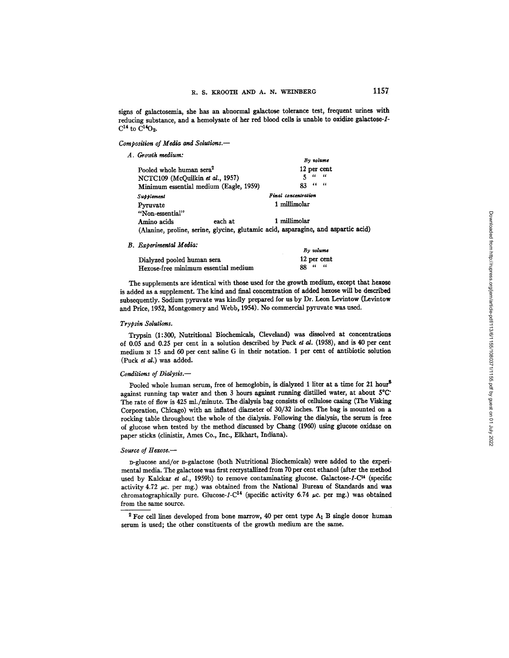signs of gaiactosemia, she has an abnormal galactose tolerance test, frequent wines with reducing substance, and a hemolysate of her red blood cells is unable to oxidize galactose-/-  $C^{14}$  to  $C^{14}O_2$ .

> *By ~olume*  12 per cent  $\frac{5}{83}$   $\frac{6}{16}$   $\frac{6}{16}$

*Composition of Media and Solutions.*-

*A. Growth medium:* 

| л. спошт тажнит.                       | $By$ volume         |
|----------------------------------------|---------------------|
| Pooled whole human sera <sup>2</sup>   | 12 per cer          |
| NCTC109 (McQuilkin et al., 1957)       | 5.666               |
| Minimum essential medium (Eagle, 1959) | $83$ " "            |
| Supplement                             | Final concentration |

| Pyruvate                                                                          |         | 1 millimolar |  |
|-----------------------------------------------------------------------------------|---------|--------------|--|
| "Non-essential"                                                                   |         |              |  |
| Amino acids                                                                       | each at | 1 millimolar |  |
| (Alanine, proline, serine, glycine, glutamic acid, asparagine, and aspartic acid) |         |              |  |

# *B. Experimental Media:* By *Py polynomy By polynomy*

|                                      | <i>Dy volume</i> |
|--------------------------------------|------------------|
| Dialyzed pooled human sera           | 12 per cent      |
| Hexose-free minimum essential medium | 88 " "           |

The supplements are identical with those used for the growth medium, except that hexose is added as a supplement. The kind and final concentration of added hexose will be described subsequently. Sodium pyruvate was kindly prepared for us by Dr. Leon Levintow (Levintow and Price, 1952, Montgomery and Webb, 1954). No commercial pyruvate was used.

### *Trypsin Solutions.*

Trypsin (1:300, Nutritional Biochemicais, Cleveland) was dissolved at concentrations of 0.05 and 0.25 per cent in a solution described by Puck  $et$   $al.$  (1958), and is 40 per cent medium  $N$  15 and 60 per cent saline G in their notation. 1 per cent of antibiotic solution (Puck *et al.)* was added.

# *Conditions of Dialysis.-*

Pooled whole human serum, free of hemoglobin, is dialyzed 1 liter at a time for 21 hour<sup>8</sup> against running tap water and then 3 hours against running distilled water, at about  $5^{\circ}$ C' The rate of flow is 425 ml./minute. The dialysis bag consists of cellulose casing (The Visking Corporation, Chicago) with an inflated diameter of 30/32 inches. The bag is mounted on a rocking table throughout the whole of the dialysis. Following the dialysis, the serum is free of glucose when tested by the method discussed by Chang (1960) using glucose oxidase on paper sticks (clinistix, Ames Co., Inc., Elkhart, Indiana).

#### *Source of Hexose.--*

D-glucose and/or D-galactose (both Nutritional Biochemicals) were added to the experimental media. The galactose was first recrystallized from 70 per cent ethanol (after the method used by Kalckar et al., 1959b) to remove contaminating glucose. Galactose-1-C<sup>14</sup> (specific activity 4.72 uc. per rag.) was obtained from the National Bureau of Standards and was chromatographically pure. Glucose-1-C<sup>14</sup> (specific activity 6.74  $\mu$ c. per mg.) was obtained from the same source.

 $2$  For cell lines developed from bone marrow, 40 per cent type  $A_1$  B single donor human serum is used; the other constituents of the growth medium are the same.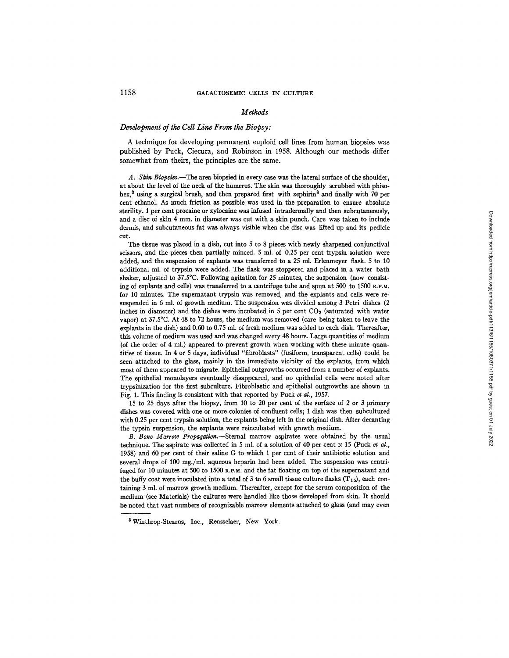## *Methods*

# *Development of the Cell Line From the Biopsy:*

A technique for developing permanent euploid cell lines from human biopsies was published by Puck, Ciecura, and Robinson in 1958. Although our methods differ somewhat from theirs, the principles are the same.

*A. Skin Biopsies.--The* area biopsied in every case was the lateral surface of the shoulder, at about the level of the neck of the humerus. The skin was thoroughly scrubbed with phisohex,<sup>3</sup> using a surgical brush, and then prepared first with zephirin<sup>3</sup> and finally with 70 per cent ethanol. As much friction as possible was used in the preparation to ensure absolute sterility. 1 per cent procaine or xylocaine was infused intradermally and then subcutaneously, and a disc of skin 4 mm. in diameter was cut with a skin punch. Care was taken to include dermis, and subcutaneous fat was always visible when the disc was lifted up and its pedicle cut.

The tissue was placed in a dish, cut into 5 to 8 pieces with newly sharpened conjunctival scissors, and the pieces then partially minced. 5 ml. of 0.25 per cent trypsin solution were added, and the suspension of explants was transferred to a 25 ml. Erlenmeyer flask. 5 to 10 additional ml. of trypsin were added. The flask was stoppered and placed in a water bath shaker, adjusted to 37.5°C. Following agitation for 25 minutes, the suspension (now consisting of explants and cells) was transferred to a centrifuge tube and spun at 500 to 1500 R.P.M. for 10 minutes. The supernataut trypsin was removed, and the explants and cells were resuspended in 6 ml. of growth medium. The suspension was divided among 3 Petri dishes (2 inches in diameter) and the dishes were incubated in 5 per cent  $CO<sub>2</sub>$  (saturated with water vapor) at 37.5°C. At 48 to 72 hours, the medium was removed (care being taken to leave the explants in the dish) and 0.60 to 0.75 ml. of fresh medium was added to each dish. Thereafter, this volume of medium was used and was changed every 48 hours. Large quantities of medium (of the order of 4 ml.) appeared to prevent growth when working with these minute quantities of tissue. In 4 or 5 days, individual "fibroblasts" (fusiform, transparent cells) could be seen attached to the glass, mainly in the immediate vicinity of the explants, from which most of them appeared to migrate. Epithelial outgrowths occurred from a number of explants. The epithelial monolayers eventually disappeared, and no epithelial cells were noted after trypsinization for the first subculture. Fibroblastic and epithelial outgrowths are shown in Fig. 1. This finding is consistent with that reported by Puck et al., 1957.

15 to 25 days after the biopsy, from 10 to 20 per cent of the surface of 2 or 3 primary dishes was covered with one or more colonies of confluent cells; 1 dish was then subcultured with 0.25 per cent trypsin solution, the explants being left in the original dish. After decanting the typsin suspension, the explants were reincubated with growth medium.

*B. Bone Marrow Propagation.--Sternal* marrow aspirates were obtained by the usual technique. The aspirate was collected in 5 ml. of a solution of 40 per cent N 15 (Puck *et aL,*  1958) and 60 per cent of their saline G to which 1 per cent of their antibiotic solution and several drops of I00 mg./ml, aqueous heparin had been added. The suspension was centrifuged for 10 minutes at 500 to 1500 R.P.M. and the fat floating on top of the supernatant and the buffy coat were inoculated into a total of 3 to 6 small tissue culture flasks  $(T_{16})$ , each containing 3 ml. of marrow growth medium. Thereafter, except for the serum composition of the medium (see Materials) the cultures were handled like those developed from skin. It should be noted that vast numbers of recognizable marrow elements attached to glass (and may even

a Winthrop-Stearns, Inc., Rensselaer, New York.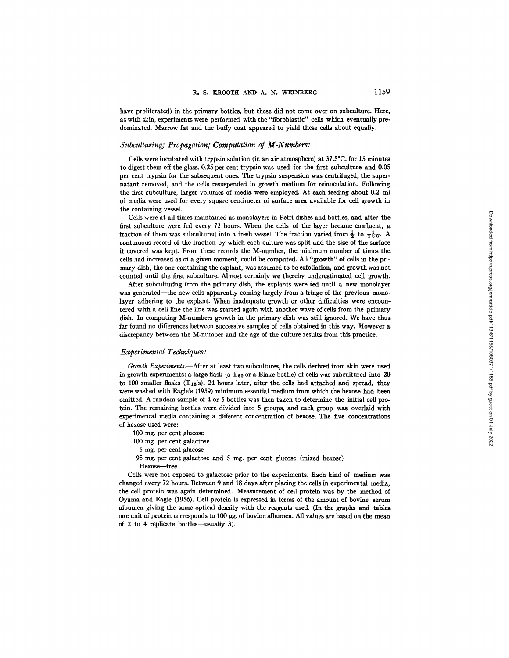have proliferated) in the primary bottles, but these did not come over on subculture. Here, as with skin, experiments were performed with the "fibroblastic" cells which eventually predominated. Marrow fat and the buffy coat appeared to yield these cells about equally.

### *Subculturing; Propagation; Computation of M-Numbers:*

Cells were incubated with trypsin solution (in an air atmosphere) at 37.5°C. for 15 minutes to digest them off the glass. 0.25 per cent trypsin was used for the first subculture and 0.05 per cent trypsin for the subsequent ones. The trypsin suspension was centrifuged, the supernatant removed, and the cells resuspended in growth medium for reinoculation. Following the first subculture, larger volumes of media were employed. At each feeding about 0.2 ml of media were used for every square centimeter of surface area available for cell growth in the containing vessel.

Cells were at all times maintained as monolayers in Petri dishes and bottles, and after the first subculture were fed every 72 hours. When the ceils of the layer became confluent, a fraction of them was subcultured into a fresh vessel. The fraction varied from  $\frac{1}{2}$  to  $\frac{1}{100}$ . A continuous record of the fraction by which each culture was split and the size of the surface it covered was kept. From these records the M-number, the minimum number of times the cells had increased as of a given moment, could be computed. All "growth" of cells in the primary dish, the one containing the explant, was assumed to be exfoliation, and growth was not counted until the first subculture. Almost certainly we thereby underestimated cell growth.

After subculturing from the primary dish, the explants were fed until a new monolayer was generated--the new cells apparently coming largely from a fringe of the previous monolayer adhering to the explant. When inadequate growth or other difficulties were encountered with a cell line the line was started again with another wave of cells from the primary dish. In computing M-numbers growth in the primary dish was still ignored. We have thus far found no differences between successive samples of cells obtained in this way. However a discrepancy between the M-number and the age of the culture results from this practice.

### *Experimental Techniques:*

*Growth Experiments.--Mter* at least two subcultures, the cells derived from skin were used in growth experiments: a large flask (a  $T_{60}$  or a Blake bottle) of cells was subcultured into 20 to 100 smaller flasks  $(T_1, 's)$ . 24 hours later, after the cells had attached and spread, they were washed with Eagle's (1959) minimum essential medium from which the hexose had been omitted. A random sample of 4 or 5 bottles was then taken to determine the initial cell protein. The remaining bottles were divided into 5 groups, and each group was overlaid with experimental media containing a different concentration of hexose. The five concentrations of hexose used were:

- 100 mg. per cent glucose
- 100 mg. per cent galactose
- 5 mg. per cent glucose
- 95 mg. per cent galactose and 5 mg. per cent glucose (mixed hexose)
- Hexose-free

Cells were not exposed to galactose prior to the experiments. Each kind of medium was changed every 72 hours. Between 9 and 18 days after placing the ceils in experimental media, the cell protein was again determined. Measurement of cell protein was by the method of Oyama and Eagle (1956). Cell protein is expressed in terms of the amount of bovine serum albumen giving the same optical density with the reagents used. (In the graphs and tables one unit of protein corresponds to  $100 \mu g$ . of bovine albumen. All values are based on the mean of 2 to 4 replicate bottles-usually 3).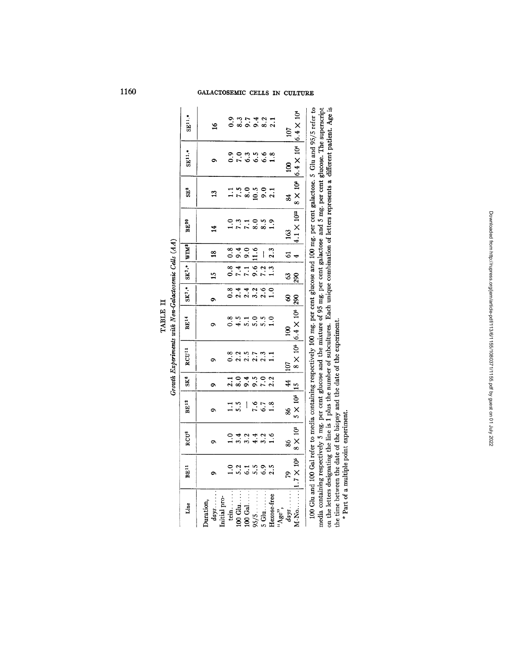|                      |                                    |                                                                                                                   |                          |                  |                   | (True) can come minimum and the main cannot and the main come of the come of the come of the come of the come of the come of the come of the come of the come of the come of the come of the come of the come of the come of t |                   |                                                                                                              |                      |                                                                                  |                 |                  |                  |
|----------------------|------------------------------------|-------------------------------------------------------------------------------------------------------------------|--------------------------|------------------|-------------------|--------------------------------------------------------------------------------------------------------------------------------------------------------------------------------------------------------------------------------|-------------------|--------------------------------------------------------------------------------------------------------------|----------------------|----------------------------------------------------------------------------------|-----------------|------------------|------------------|
| Line                 | $BE^{11}$                          | RCU <sup>8</sup>                                                                                                  | BE <sup>12</sup>         | $S\mathbb{K}^6$  | $RCU^{11}$        | BE <sup>14</sup>                                                                                                                                                                                                               |                   | $SK7$ .* SK <sup>7</sup> .* WIM <sup>3</sup>                                                                 |                      | <b>BE20</b>                                                                      | SE <sup>8</sup> | SE11.*           | $SE^{11.4}$      |
| Duration,            |                                    |                                                                                                                   |                          |                  |                   |                                                                                                                                                                                                                                |                   |                                                                                                              |                      |                                                                                  |                 |                  |                  |
| $\frac{days}{x}$ .   |                                    | $\circ$                                                                                                           | $\bullet$                | $\bullet$        |                   | $\bullet$                                                                                                                                                                                                                      | $\bullet$         | 15                                                                                                           | $\overline{18}$      | $\overline{1}$                                                                   | 13              | $\circ$          | $\tilde{a}$      |
| Initial pro-<br>tein |                                    |                                                                                                                   |                          |                  |                   |                                                                                                                                                                                                                                |                   |                                                                                                              |                      |                                                                                  |                 |                  |                  |
| 100 Glu.             | 0.215005                           | 0 4 0 4 0 0<br>1 0 0 4 0 1                                                                                        | 1.5.5                    | 104502<br>200002 | 8235731<br>023231 | $8.5 - 0.5$<br>$0.4 - 0.5$                                                                                                                                                                                                     | satanoo<br>Oddodd | $\begin{array}{c c} 0.8 & 0.8 \\ 7.4 & 9.4 \\ 7.1 & 9.6 \\ 9.6 & 11.6 \\ 7.2 & 2.3 \\ 1.3 & 2.3 \end{array}$ |                      | 0.010000                                                                         |                 | oonnoo<br>oroood | onrana<br>Oxooxi |
| 100 Gal.             |                                    |                                                                                                                   | $\overline{\phantom{a}}$ |                  |                   |                                                                                                                                                                                                                                |                   |                                                                                                              |                      |                                                                                  |                 |                  |                  |
| 95/5                 |                                    |                                                                                                                   |                          |                  |                   |                                                                                                                                                                                                                                |                   |                                                                                                              |                      |                                                                                  |                 |                  |                  |
| $5$ Glu $\ldots$     |                                    |                                                                                                                   | $7.58$<br>$-1.8$         |                  |                   |                                                                                                                                                                                                                                |                   |                                                                                                              |                      |                                                                                  |                 |                  |                  |
| Hexose-free          |                                    |                                                                                                                   |                          |                  |                   |                                                                                                                                                                                                                                |                   |                                                                                                              |                      |                                                                                  |                 |                  |                  |
| "Age",               |                                    |                                                                                                                   |                          |                  |                   |                                                                                                                                                                                                                                |                   |                                                                                                              |                      |                                                                                  |                 |                  |                  |
| days                 | 20                                 |                                                                                                                   |                          |                  |                   |                                                                                                                                                                                                                                |                   |                                                                                                              | $\overline{6}$       | 163                                                                              | 84              | $\mathbf{g}$     | 107              |
| M-No.                | $\frac{1.7 \times 10^{5}}{10^{6}}$ | 8   $\frac{1}{7}$   $\frac{1}{7}$   $\frac{1}{7}$   $\frac{1}{8}$   $\frac{1}{8}$   $\frac{1}{8}$   $\frac{1}{8}$ |                          |                  |                   | $\begin{array}{ l l l }\n\hline\n107 & 106 & 60 \\ 8 \times 10^5 & 6.4 \times 10^6 & 290\n\end{array}$                                                                                                                         |                   | $\frac{38}{28}$                                                                                              | $\ddot{\phantom{0}}$ | $4.1 \times 10^{12}$ 8 × 10 <sup>4</sup> s × 10 <sup>4</sup> s × 10 <sup>4</sup> |                 |                  |                  |
|                      |                                    |                                                                                                                   |                          |                  |                   |                                                                                                                                                                                                                                |                   |                                                                                                              |                      |                                                                                  |                 |                  |                  |

**Growth Experiments with Non-Galactosemic Cells** (AA) TABLE II

ra.~ **88**  'S **i**  o.~ **! ~e ra ~ ~**  ءّ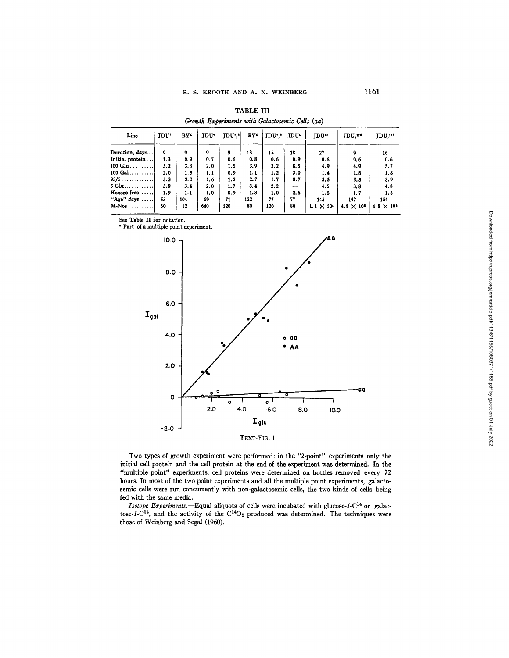| Line                            | JDU <sup>5</sup> | BY <sup>5</sup> | JDU <sup>7</sup> | JDU'.' | BY <sup>s</sup> | $JDU$ . | JDU <sup>5</sup> | <b>IDU<sup>10</sup></b> | JDU.12*             | JDU,"               |
|---------------------------------|------------------|-----------------|------------------|--------|-----------------|---------|------------------|-------------------------|---------------------|---------------------|
| Duration, days                  | 9                | 9               | 9                | 9      | 18              | 15      | 18               | 27                      | 9                   | 16                  |
| Initial protein                 | 1.3              | 0.9             | 0,7              | 0.6    | 0,8             | 0.6     | 0.9              | 0.6                     | 0.6                 | 0.6                 |
| 100 Glu                         | 5, 2             | 3.3             | 2.0              | 1.5    | 3.9             | 2.2     | 8.5              | 4.9                     | 4.9                 | 5.7                 |
| 100 Gal                         | 2.0              | 1.5             | 1.1              | 0.9    | 1.1             | 1, 2    | 3.0              | 1.4                     | 1.8                 | 1.8                 |
| 95/5                            | 5.3              | 3.0             | 1.6              | 1.2    | 2.7             | 1.7     | 8.7              | 3.5                     | 3.3                 | 3.9                 |
| 5 Glu                           | 5.9              | 3.4             | 2.0              | 1.7    | 3.4             | 2.2     | -                | 4.5                     | 3.8                 | 4.8                 |
| Hexose-free                     | 1.9              | 1.1             | 1.0              | 0.9    | 1.3             | 1.0     | 2.6              | 1.5                     | 1.7                 | 1.5                 |
| "Age" days                      | 55               | 104             | 69               | 71     | 122             | 77      | 77               | 145                     | 147                 | 154                 |
| $M-N$ os $\dots\dots\dots\dots$ | 60               | 12              | 640              | 120    | 80              | 120     | 80               | $1.1 \times 10$         | $4.8 \times 10^{5}$ | $4.8 \times 10^{5}$ |

TABLE III *Growth Experiments with Galaaosemic Cells (aa)* 

1161

See Table II for notation.

\* Part of a multiple point experiment.



Two types of growth experiment were performed: in the "2-point" experiments only the initial cell protein and the cell protein at the end of the experiment was determined. In the "multiple point" experiments, cell proteins were determined on bottles removed every 72 hours. In most of the two point experiments and all the multiple point experiments, galactosemic cells were run concurrently with non-galactosemic cells, the two kinds of cells being fed with the same media.

*Isotope Experiments.*--Equal aliquots of cells were incubated with glucose-1-C<sup>14</sup> or galactose-I-C<sup>14</sup>, and the activity of the C<sup>14</sup>O<sub>2</sub> produced was determined. The techniques were those of Weinberg and Segal (1960).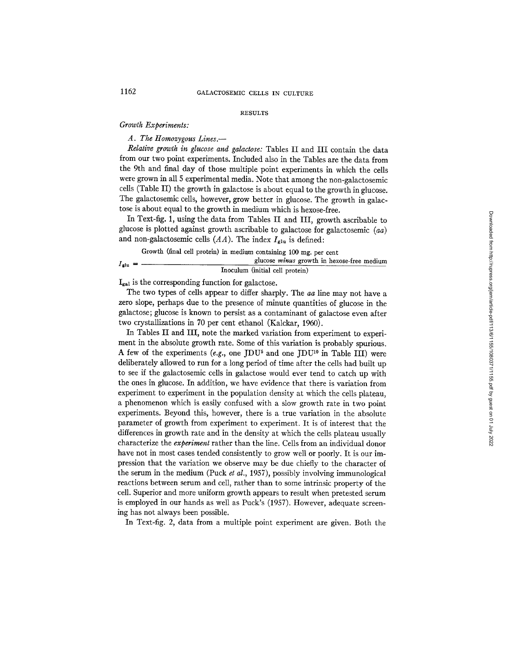#### RESULTS

# *Growth Experiments:*

A. The Homozygous Lines.—

*Relative growth in glucose and galactose:* Tables II and III contain the data from our two point experiments. Included also in the Tables are the data from the 9th and final day of those multiple point experiments in which the cells were grown in all 5 experimental media. Note that among the non-galactosemic cells (Table II) the growth in galactose is about equal to the growth in glucose. The galactosemic cells, however, grow better in glucose. The growth in galactose is about equal to the growth in medium which is hexose-free.

In Text-fig. 1, using the data from Tables II and III, growth ascribable to glucose is plotted against growth ascribable to galactose for galactosemic *(aa)*  and non-galactosemic cells  $(AA)$ . The index  $I_{\text{glu}}$  is defined:

|  |  |  |  |  |  | Growth (final cell protein) in medium containing 100 mg, per cent |  |  |  |  |
|--|--|--|--|--|--|-------------------------------------------------------------------|--|--|--|--|
|--|--|--|--|--|--|-------------------------------------------------------------------|--|--|--|--|

| $I_{\text{glu}} =$ |  |                                 |  | glucose <i>minus</i> growth in hexose-free medium |  |
|--------------------|--|---------------------------------|--|---------------------------------------------------|--|
|                    |  | Inoculum (initial cell protein) |  |                                                   |  |

 $I<sub>gal</sub>$  is the corresponding function for galactose.

The two types of cells appear to differ sharply. The *aa* line may not have a zero slope, perhaps due to the presence of minute quantities of glucose in the galactose; glucose is known to persist as a contaminant of galactose even after two crystallizations in 70 per cent ethanol (Kalckar, 1960).

In Tables II and III, note the marked variation from experiment to experiment in the absolute growth rate. Some of this variation is probably spurious. A few of the experiments  $(e.g.,$  one  $JDU<sup>5</sup>$  and one  $JDU<sup>10</sup>$  in Table III) were deliberately allowed to run for a long period of time after the cells had built up to see if the galactosemic cells in galactose would ever tend to catch up with the ones in glucose. In addition, we have evidence that there is variation from experiment to experiment in the population density at which the cells plateau, a phenomenon which is easily confused with a slow growth rate in two point experiments. Beyond this, however, there is a true variation in the absolute parameter of growth from experiment to experiment. It is of interest that the differences in growth rate and in the density at which the cells plateau usually characterize the *experiment* rather than the line. Cells from an individual donor have not in most cases tended consistently to grow well or poorly. It is our impression that the variation we observe may be due chiefly to the character of the serum in the medium (Puck *et al.,* 1957), possibly involving immunological reactions between serum and cell, rather than to some intrinsic property of the cell. Superior and more uniform growth appears to result when pretested serum is employed in our hands as well as Puck's (1957). However, adequate screening has not always been possible.

In Text-fig. 2, data from a multiple point experiment are given. Both the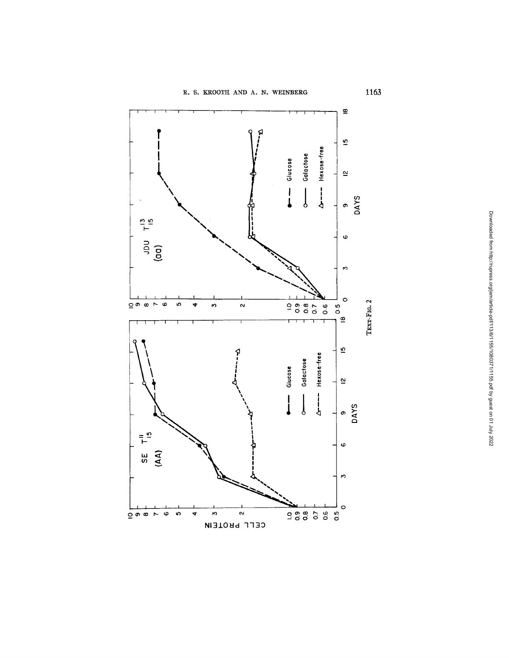

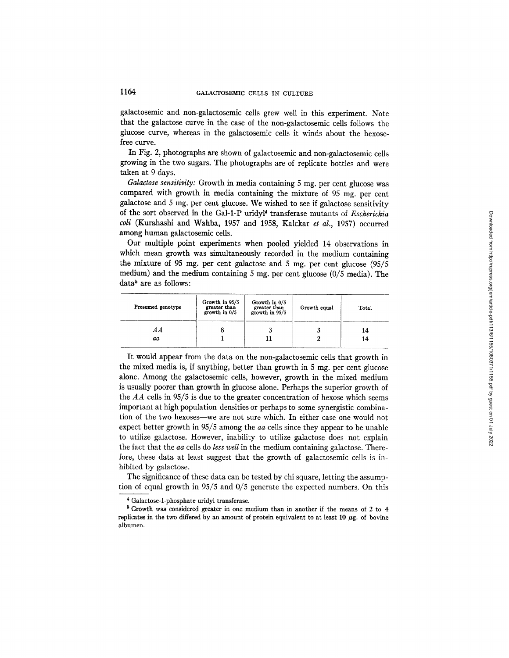galactosemic and non-galactosemic cells grew well in this experiment. Note that the galactose curve in the case of the non-galactosemic cells follows the glucose curve, whereas in the galactosemic cells it winds about the hexosefree curve.

In Fig. 2, photographs are shown of galactosemic and non-galactosemic cells growing in the two sugars. The photographs are of replicate bottles and were taken at 9 days.

Galactose sensitivity: Growth in media containing 5 mg. per cent glucose was compared with growth in media containing the mixture of 95 mg. per cent galactose and 5 mg. per cent glucose. We wished to see if galactose sensitivity of the sort observed in the Gal-1-P uridyl<sup>4</sup> transferase mutants of *Escherichia coli* (Kurahashi and Wahba, 1957 and 1958, Kalckar *et al.,* 1957) occurred among human galactosemic cells.

Our multiple point experiments when pooled yielded 14 observations in which mean growth was simultaneously recorded in the medium containing the mixture of 95 mg. per cent galactose and 5 mg. per cent glucose (95/5 medium) and the medium containing 5 mg. per cent glucose  $(0/5 \text{ media})$ . The data<sup>5</sup> are as follows:

| Presumed genotype | Growth in 95/5<br>greater than<br>growth in 0/5 | Growth in 0/5<br>greater than<br>growth in 95/5 | Growth equal | Total    |
|-------------------|-------------------------------------------------|-------------------------------------------------|--------------|----------|
| ΑA<br>aa          |                                                 |                                                 |              | 14<br>14 |

It would appear from the data on the non-galactosemic cells that growth in the mixed media is, if anything, better than growth in 5 mg. per cent glucose alone. Among the galactosemic cells, however, growth in the mixed medium is usually poorer than growth in glucose alone. Perhaps the superior growth of the *AA* cells in 95/5 is due to the greater concentration of hexose which seems important at high population densities or perhaps to some synergistic combination of the two hexoses--we are not sure which. In either case one would not expect better growth in 95/5 among the *aa* cells since they appear to be unable to utilize galactose. However, inability to utilize galactose does not explain the fact that the *aa* cells do *less well* in the medium containing galactose. Therefore, these data at least suggest that the growth of galactosemic cells is inhibited by galactose.

The significance of these data can be tested by chi square, letting the assumption of equal growth in 95/5 and 0/5 generate the expected numbers. On this

<sup>4</sup> Galactose-l-phosphate uridyl transferase.

 $5$  Growth was considered greater in one medium than in another if the means of 2 to 4 replicates in the two differed by an amount of protein equivalent to at least 10  $\mu$ g. of bovine albumen.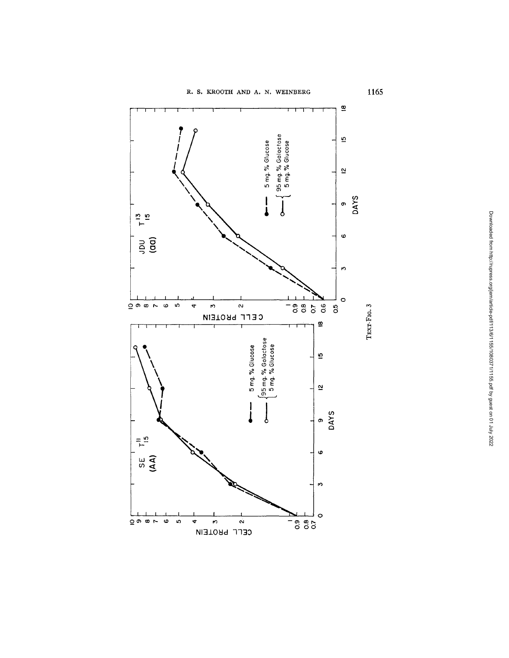

**1165**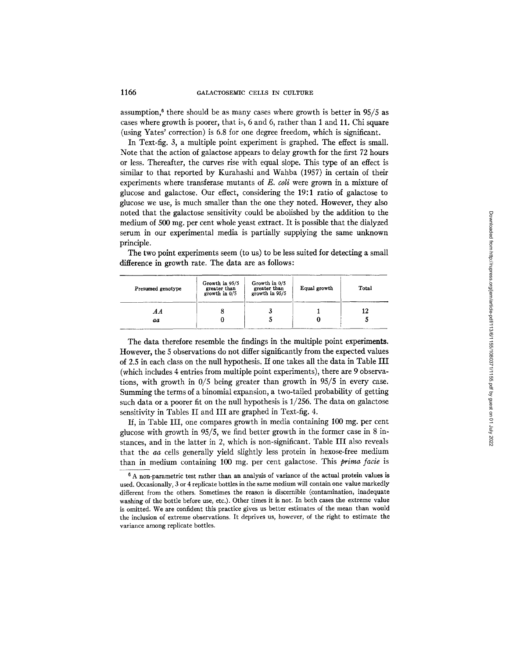assumption, 6 there should be as many cases where growth is better in *95/5* as cases where growth is poorer, that is, 6 and 6, rather than 1 and 11. Chi square (using Yates' correction) is 6.8 for one degree freedom, which is significant.

In Text-fig. 3, a multiple point experiment is graphed. The effect is small. Note that the action of galactose appears to delay growth for the first 72 hours or less. Thereafter, the curves rise with equal slope. This type of an effect is similar to that reported by Kurahashi and Wahba (1957) in certain of their experiments where transferase mutants of *E. coli* were grown in a mixture of glucose and galactose. Our effect, considering the 19:1 ratio of galactose to glucose we use, is much smaller than the one they noted. However, they also noted that the galactose sensitivity could be abolished by the addition to the medium of 500 mg. per cent whole yeast extract. It is possible that the dialyzed serum in our experimental media is partially supplying the same unknown principle.

The two point experiments seem (to us) to be less suited for detecting a small difference in growth rate. The data are as follows:

| Presumed genotype | Growth in 95/5<br>greater than<br>growth in $0/5$ | Growth in 0/5<br>greater than<br>growth in 95/5 | Equal growth | Total |
|-------------------|---------------------------------------------------|-------------------------------------------------|--------------|-------|
| A A<br>aa         |                                                   | J                                               |              |       |

The data therefore resemble the findings in the multiple point experiments. However, the 5 observations do not differ significantly from the expected values of 2.5 in each class on the null hypothesis. If one takes all the data in Table III (which includes 4 entries from multiple point experiments), there are 9 observations, with growth in 0/5 being greater than growth in *95/5* in every case. Summing the terms of a binomial expansion, a two-tailed probability of getting such data or a poorer fit on the null hypothesis is 1/256. The data on galactose sensitivity in Tables II and III are graphed in Text-fig. 4.

If, in Table III, one compares growth in media containing 100 mg. per cent glucose with growth in 95/5, we find better growth in the former case in 8 instances, and in the latter in 2, which is non-significant. Table III also reveals that the *aa* cells generally yield slightly less protein in hexose-free medium than in medium containing 100 mg. per cent galactose. This *prima facie* is

**<sup>6</sup> A** non-parametric test rather than an analysis of variance of the actual protein values is used. Occasionally, 3 or 4 replicate bottles in the same medium will contain one value markedly different from the others. Sometimes the reason is discernible (contamination, inadequate washing of the bottle before use, etc.). Other times it is not. In both cases the extreme value is omitted. We are confident this practice gives us better estimates of the mean than would the inclusion of extreme observations. It deprives us, however, of the right to estimate the variance among replicate bottles.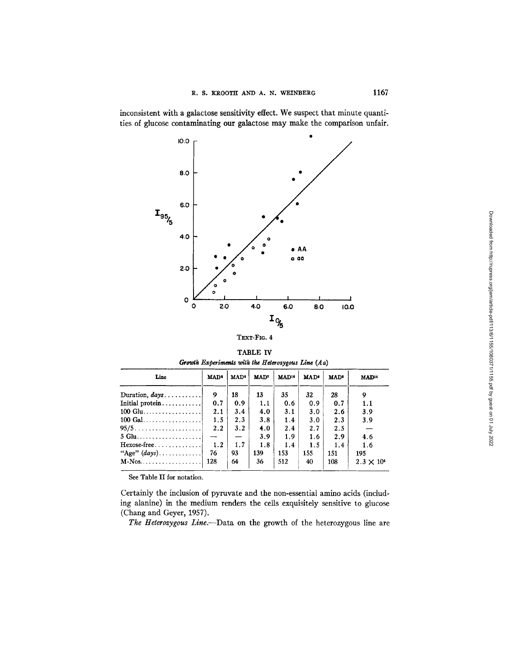inconsistent with a galactose sensitivity effect. We suspect that minute quantities of glucose contaminating our galactose may make the comparison unfair.



TExz-FIG. 4

TABLE IV *Growth Experiments with the Heterosygous Line (Aa)* 

| Line             | MAD <sup>6</sup> | MAD <sup>*</sup> | <b>MAD</b> | MAD <sup>10</sup> | MA <sub>D</sub>  | MAD <sup>®</sup> | MAD <sup>14</sup>   |
|------------------|------------------|------------------|------------|-------------------|------------------|------------------|---------------------|
| Duration, $days$ | 9                | 18               | 13         | 35                | 32               | 28               | 9                   |
| Initial protein  | 0.7              | 0.9 <sub>2</sub> | 1.1        | 0.6               | 0.9              | 0.7              | 1.1                 |
| 100 Glu          | 2.1              | 3.4              | 4.0        | 3.1               | 3.0              | 2.6              | 3.9                 |
| 100 Gal          | 1.5              | 2.3              | 3.8        | 1.4               | 3.0 <sub>1</sub> | 2.3              | 3.9                 |
| $95/5$           | 2.2              | 3.2              | 4.0        | $2.4^{\circ}$     | 2.7              | 2.5              |                     |
| $5 \text{ Glu}$  |                  |                  | 3.9        | 1.9               | 1.6              | 2.9              | 4.6                 |
| $Hexose-free$    | 1.2              | 1.7              | 1.8        | 1.4               | 1.5              | 1.4              | 1.6                 |
| "Age" $(days)$   | -76              | 93               | 139        | 153               | 155              | 151              | 195                 |
|                  |                  | 64               | 36         | 512               | 40               | 108              | $2.3 \times 10^{4}$ |

See Table II for notation.

Certainly the inclusion of pyruvate and the non-essential amino acids (including alanine) in the medium renders the cells exquisitely sensitive to glucose (Chang and Geyer, 1957).

*The tteterozygous Line.--Data* on the growth of the heterozygous line are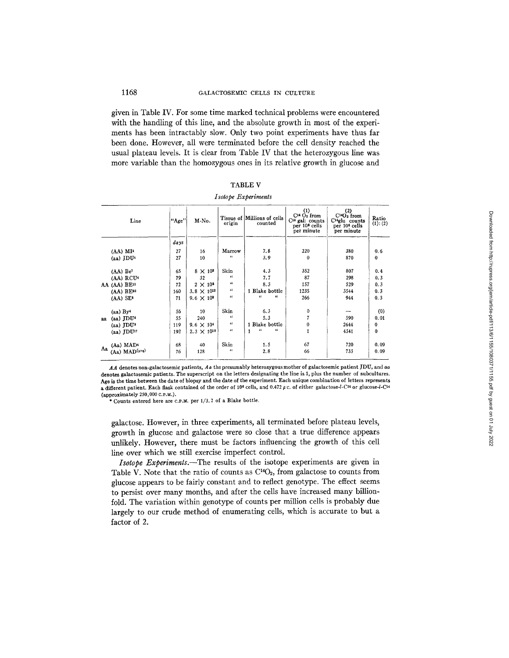## 1168 GALACTOSEMIC CELLS IN CULTURE

given in Table IV. For some time marked technical problems were encountered with the handling of this line, and the absolute growth in most of the experiments has been intractably slow. Only two point experiments have thus far been done. However, all were terminated before the cell density reached the usual plateau levels. It is clear from Table IV that the heterozygous line was more variable than the homozygous ones in its relative growth in glucose and

|    | Line                                     | "Age" | M-No.                | origin        | Tissue of Millions of cells<br>counted | (1)<br>$C14O2$ from<br>$C14$ gal: counts<br>per 10 <sup>6</sup> cells<br>per minute | (2)<br>$C^{14}O_2$ from<br>C <sup>14</sup> glu counts<br>per 10 <sup>6</sup> cells<br>per minute | Ratio<br>$(1)$ : $(2)$ |
|----|------------------------------------------|-------|----------------------|---------------|----------------------------------------|-------------------------------------------------------------------------------------|--------------------------------------------------------------------------------------------------|------------------------|
|    |                                          | days  |                      |               |                                        |                                                                                     |                                                                                                  |                        |
|    | $(AA)$ MI <sup>4</sup>                   | 27    | 16                   | Marrow        | 7.8                                    | 220                                                                                 | 380                                                                                              | 0.6                    |
|    | (aa) JDU <sup>4</sup>                    | 27    | 10                   | $\epsilon$    | 3.9                                    | $\bf{0}$                                                                            | 870                                                                                              | 0                      |
|    | (AA) Be <sup>7</sup>                     | 65    | $8 \times 10^3$      | Skin          | 4, 3                                   | 352                                                                                 | 807                                                                                              | 0.4                    |
|    | $(AA)$ RCU <sup>4</sup>                  | 79    | 32                   | 46            | 7.7                                    | 87                                                                                  | 298                                                                                              | 0.3                    |
|    | AA (AA) BE <sup>11</sup>                 | 72    | $2 \times 10^5$      | $\epsilon$    | 8.3                                    | 157                                                                                 | 529                                                                                              | 0.3                    |
|    | $(AA)$ BE <sup>20</sup>                  | 160   | $3.8 \times 10^{12}$ | $\epsilon$    | 1 Blake bottle                         | 1235                                                                                | 3544                                                                                             | 0.3                    |
|    | (AA) SE <sup>s</sup>                     | 71    | $9.6 \times 10^{3}$  | $\epsilon$    | $\overline{\mathbf{a}}$<br>$\alpha$    | 266                                                                                 | 944                                                                                              | 0.3                    |
|    | (aa) By <sup>4</sup>                     | 56    | 10                   | Skin          | 6.3                                    | 0                                                                                   |                                                                                                  | (0)                    |
| aa | (aa) JDU <sup>6</sup>                    | 55    | 240                  | $\mathcal{L}$ | 5.3                                    | 7                                                                                   | 590                                                                                              | 0.01                   |
|    | (aa) JDU <sup>9</sup>                    | 119   | $9.6 \times 10^{4}$  | 66            | 1 Blake bottle                         | 0                                                                                   | 2644                                                                                             | 0                      |
|    | $(aa)$ JDU <sup>17</sup>                 | 192   | $2.3 \times 10^{10}$ | 66            | $\epsilon$<br>$^{16}$<br>$\mathbf{1}$  |                                                                                     | 4541                                                                                             | 0                      |
|    | (Aa) MAD <sup>4</sup>                    | 68    | 40                   | Skin          | 1.5                                    | 67                                                                                  | 720                                                                                              | 0.09                   |
| Aa | $(Aa)$ MAD <sup><math>(s+6)</math></sup> | 76    | 128                  | $\epsilon$    | 2,8                                    | 66                                                                                  | 735                                                                                              | 0.09                   |

| TABLE V |                     |
|---------|---------------------|
|         | Isotope Experiments |

*AA* denotes non-galactosemic patients, A a the presumably heterozygous mother of galactosemic patient JDU, and *aa*  denotes galaetosemic patients. The superscript on the letters designating the line is 1, plus the number of subcultures. Ago is the time between the date of biopsy and the date of the experiment. Each unique combination of letters represents a different patient. Each flask contained of the order of 10<sup>6</sup> cells, and 0.472  $\mu$ c. of either galactose-l-C<sup>14</sup> or glucose-l-C<sup>14</sup> (approximately  $250,000$  c.p.m.).

Counts entered here are c.P.M. per 1/3.2 of a Blake bottle.

galactose. However, in three experiments, all terminated before plateau levels, growth in glucose and galactose were so close that a true difference appears unlikely. However, there must be factors influencing the growth of this cell line over which we still exercise imperfect control.

*Isotope Experiments.--The* results of the isotope experiments are given in Table V. Note that the ratio of counts as  $C^{14}O_2$ , from galactose to counts from glucose appears to be fairly constant and to reflect genotype. The effect seems to persist over many months, and after the cells have increased many billionfold. The variation within genotype of counts per million cells is probably due largely to our crude method of enumerating cells, which is accurate to but a factor of 2.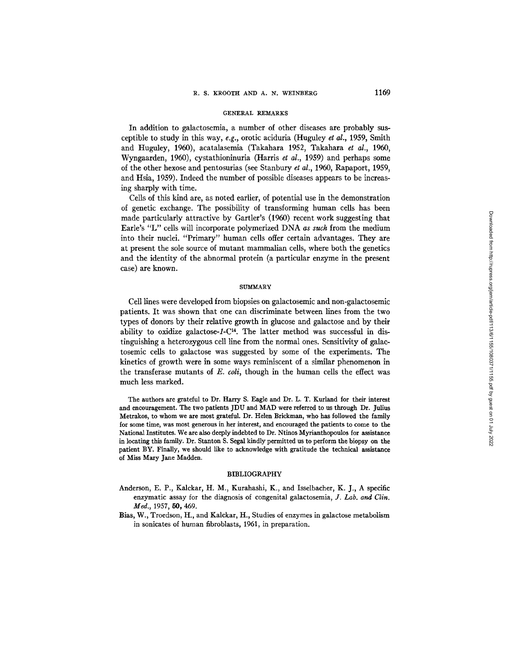#### GENERAL REMARKS

In addition to galactosemia, a number of other diseases are probably susceptible to study in this way, *e.g.,* orotic aciduria (Huguley *et al.,* 1959, Smith and Huguley, 1960), acatalasemia (Takahara 1952, Takahara *et al.,* 1960, Wyngaarden, 1960), cystathioninuria (Harris *et al.,* 1959) and perhaps some of the other hexose and pentosurias (see Stanbury *et al.,* 1960, Rapaport, 1959, and Hsia, 1959). Indeed the number of possible diseases appears to be increasing sharply with time.

Cells of this kind are, as noted earlier, of potential use in the demonstration of genetic exchange. The possibility of transforming human cells has been made particularly attractive by Gartler's (1960) recent work suggesting that Earle's "L" cells will incorporate polymerized DNA as *such* from the medium into their nuclei. "Primary" human cells offer certain advantages. They are at present the sole source of mutant mammalian cells, where both the genetics and the identity of the abnormal protein (a particular enzyme in the present case) are known.

#### **SUMMARY**

Cell lines were developed from biopsies on galactosemic and non-galactosemic patients. It was shown that one can discriminate between lines from the two types of donors by their relative growth in glucose and galactose and by their ability to oxidize galactose- $I-C^{14}$ . The latter method was successful in distinguishing a heterozygous cell line from the normal ones. Sensitivity of galactosemic cells to galactose was suggested by some of the experiments. The kinetics of growth were in some ways reminiscent of a similar phenomenon in the transferase mutants of *E. coli,* though in the human cells the effect was much less marked.

The authors are grateful to Dr. Harry S. Eagle and Dr. L. T. Kurland for their interest and encouragement. The two patients JDU and MAD were referred to us through Dr. Julius Metrakos, to whom we are most grateful. Dr. Helen Brickman, who has followed the family for some time, was most generous in her interest, and encouraged the patients to come to the National Institutes. We are also deeply indebted to Dr. Ntinos Myrianthopoulos for assistance in locating this family. Dr. Stanton S. Segal kindly permitted us to perform the biopsy on the patient BY. Finally, we should like to acknowledge with gratitude the technical assistance of Miss Mary Jane Madden.

#### BIBLIOGRAPHY

- Anderson, E. P., Kalckar, H. M., Kurahashi, K., and Isselbacher, K. J., A specific enzymatic assay for the diagnosis of congenital galactosemia, *J. Lab. and Clin. Med.,* 1957, 50, 469.
- Bias, W., Troedson, H., and Kalckar, H., Studies of enzymes in galactose metabolism in sonicates of human fibroblasts, 1961, in preparation.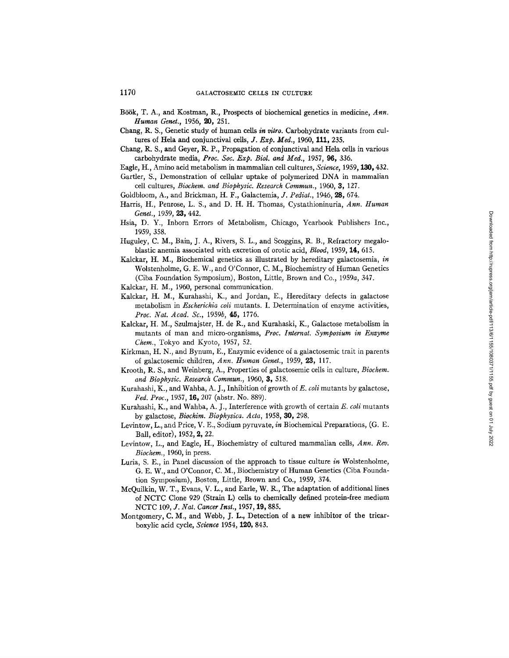- Böök, T. A., and Kostman, R., Prospects of biochemical genetics in medicine,  $Ann$ . *Human Genet.,* 1956, 20, 251.
- Chang, R. S., Genetic study of human cells *in vitro.* Carbohydrate variants from cultures of Hela and conjunctival cells, *J. Exp. Med.*, 1960, 111, 235.
- Chang, R. S., and Geyer, R. P., Propagation of conjunctival and Hela cells in various carbohydrate media, *Proc. Soc. Exp. Biol. and Med.,* 1957, 96, 336.

Eagle, H., Amino acid metabolism in mammalian cell cultures, *Science,* 1959, 130,432.

- Gartler, S., Demonstration of cellular uptake of polymerized DNA in mammalian cell cultures, *Biochem. and Biophysic. Research Commun.,* 1960, 3, 127.
- Goldbloom, A., and Brickman, H. F., Galactemia, *J. Pediat.,* 1946, 28, 674.
- Harris, H., Penrose, L. S., and D. H. H. Thomas, Cystathioninuria, *Ann. Human Genet.,* 1959, 23, 442.
- Hsia, D. Y., Inborn Errors of Metabolism, Chicago, Yearbook Publishers Inc., 1959, 358.
- Huguley, C. M., Bain, J. A., Rivers, S. L., and Scoggins, R. B., Refractory megaloblastic anemia associated with excretion of orotic acid, *Blood,* 1959, 14, 615.
- Kalckar, H. M., Biochemical genetics as illustrated by hereditary galactosemia, *in*  Wolstenholme, G. E. W., and O'Connor, C. M., Biochemistry of Human Genetics (Ciba Foundation Symposium), Boston, Little, Brown and Co., 1959a, 347.
- Kalckar, H. M., 1960, personal communication.
- Kalckar, H. M., Kurahashi, K., and Jordan, E., Hereditary defects in galactose metabolism in *Escherichia coli* mutants. I. Determination of enzyme activities, *Proc. Nat. Acad. Sc.,* 1959b, 45, 1776.
- Kalckar, H. M., Szulmajster, H. de R., and Kurahaski, K., Galactose metabolism in mutants of man and micro-organisms, *Proc. Internat. Symposium in Enzyme Chem.,* Tokyo and Kyoto, 1957, 52.
- Kirkman, H. N., and Bynum, E., Enzymic evidence of a galactosemic trait in parents of galactosemic children, *Ann. Human Genet.,* 1959, 23, 117.
- Krooth, R. S., and Weinberg, A., Properties of galactosemic cells in culture, *Biochem. and Biophysic. Research Commun.,* 1960, 3, 518.
- Kurahashi, K., and Wahba, A. J., Inhibition of growth of *E. coli* mutants by galactose, *Fed. Proc.,* 1957, 16, 207 (abstr. No. 889).
- Kurahashi, K., and Wahba, A. J., Interference with growth of certain *E. coli* mutants by galactose, *Biochim. Biophysica. Acta,* 1958, 30, 298.
- Levintow, L., and Price, V. E., Sodium pyruvate, *in* Biochemical Preparations, (G. E. Ball, editor), 1952, 2, 22.
- Levintow, L., and Eagle, H., Biochemistry of cultured mammalian ceils, *Ann. Rev. Bioehem.,* 1960, in press.
- Luria, S. E., in Panel discussion of the approach to tissue culture *in* Wolstenholme, G. E. W., and O'Connor, C. M., Biochemistry of Human Genetics (Ciba Foundation Symposium), Boston, Little, Brown and Co., 1959, 374.
- McQuilkin, W. T., Evans, V. L., and Earle, W. R., The adaptation of additional lines of NCTC Clone 929 (Strain L) cells to chemically defined protein-free medium NCTC 109, *J. Nat. Cancer Inst.,* 1957, 19,885.
- Montgomery, C. M., and Webb, J. L., Detection of a new inhibitor of the tricarboxylic acid cycle, *Science* 1954, 120, 843.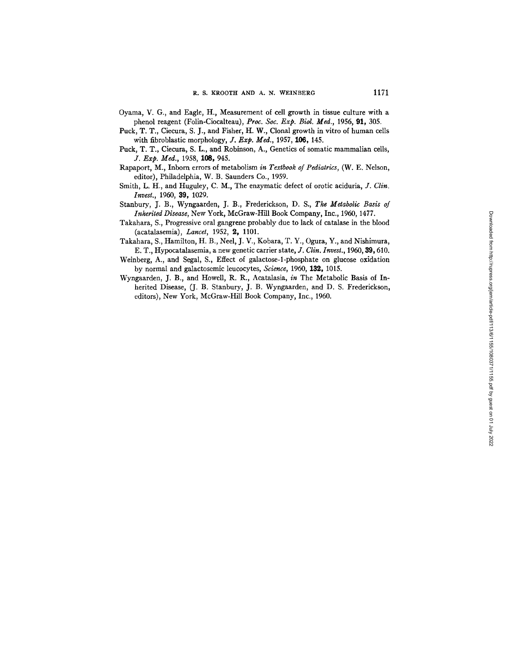- Oyama, V. G., and Eagle, H., Measurement of cell growth in tissue culture with a phenol reagent (Folin-Ciocalteau), *Proc. Soc. Exp. Biol. Med.,* 1956, 91, 305.
- Puck, T. T., Ciecura, S. J., and Fisher, FI. W., Clonal growth in vitro of human cells with fibroblastic morphology, *J. Exp. Med.,* 1957, 106, 145.
- Puck, T. T., Ciecura, S. L., and Robinson, A., Genetics of somatic mammalian cells, *J. Exp. Med.,* 1958, 108, 945.
- Rapaport, M., Inborn errors of metabolism *in Textbook of Pediatrics,* (W. E. Nelson, editor), Philadelphia, W. B. Saunders Co., 1959.
- Smith, L. H., and Huguley, C. M., The enzymatic defect of orotic aciduria, *J. Clin. Invest.,* 1960, 39, 1029.
- Stanbury, J. B., Wyngaarden, J. B., Frederickson, D. S., *The Metabolic Basis o/ Inherited Disease,* New York, McGraw-Hill Book Company, Inc., 1960, 1477.
- Takahara, S., Progressive oral gangrene probably due to lack of catalase in the blood (acatalasemia), *Lancet*, 1952, 2, 1101.
- Takahara, S., Hamilton, H. B., Neel, J. V., Kobara, T. Y., Ogura, Y., and Nishimura, E. T., Hypocatalasemia, a new genetic carrier state, *J. Clin. Invest.,* 1960, 39,610.
- Weinberg, A., and Segal, S., Effect of galactose-l-phosphate on glucose oxidation by normal and galactosemic leucocytes, *Science,* 1960, 132, 1015.
- Wyngaarden, J. B., and Howell, R. R., Acatalasia, *in* The Metabolic Basis of Inherited Disease, (J. B. Stanbury, J. B. Wyngaarden, and D. S. Frederickson, editors), New York, McGraw-Hill Book Company, Inc., 1960.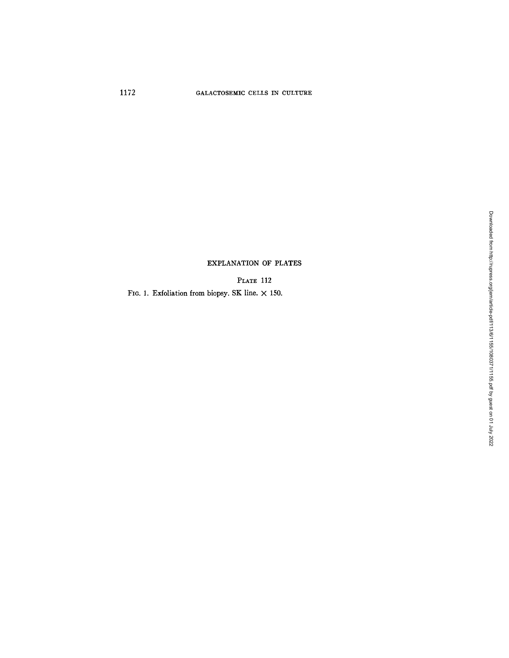# EXPLANATION OF PLATES

PLATE 112 FIG. 1. Exfoliation from biopsy. SK line.  $\times$  150.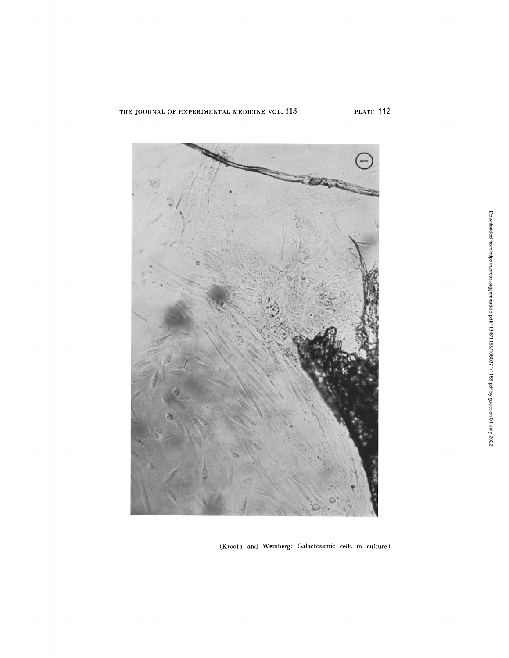

(Krooth and Weinberg: Galactosemic cells in culture)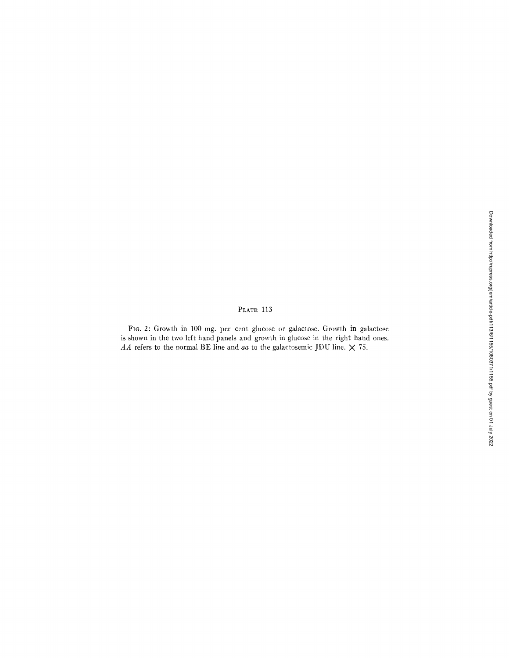# PLATE 113

FIG. 2: Growth in 100 mg. per cent glucose or galactose. Growth in galactose is shown in the two left hand panels and growth in glucose in the right hand ones. *AA* refers to the normal BE line and  $aa$  to the galactosemic JDU line.  $\times$  75.